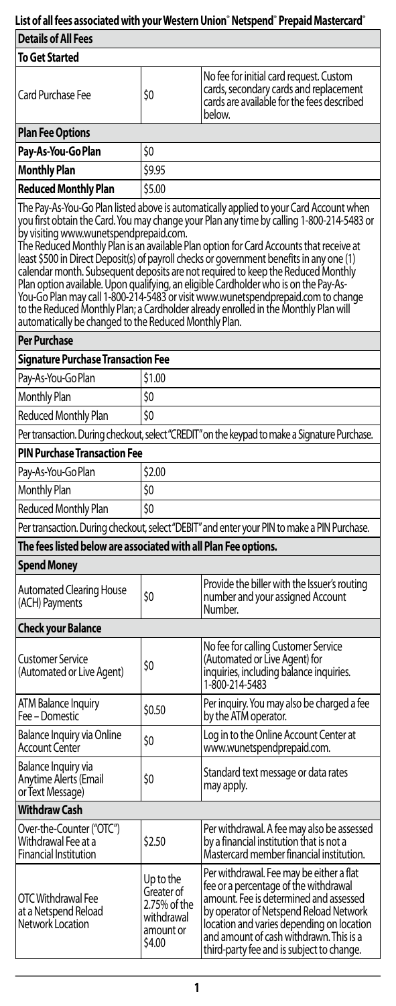# **List of all fees associated with your Western Union**®  **Netspend**®  **Prepaid Mastercard**®

| <b>Details of All Fees</b>                                                                                                                                                                                                                                                                                                                                                                                                                                                                                                                                                                                                                                                                                                                                                                                                          |                                                                              |                                                                                                                                                                                                                                                                                                            |  |
|-------------------------------------------------------------------------------------------------------------------------------------------------------------------------------------------------------------------------------------------------------------------------------------------------------------------------------------------------------------------------------------------------------------------------------------------------------------------------------------------------------------------------------------------------------------------------------------------------------------------------------------------------------------------------------------------------------------------------------------------------------------------------------------------------------------------------------------|------------------------------------------------------------------------------|------------------------------------------------------------------------------------------------------------------------------------------------------------------------------------------------------------------------------------------------------------------------------------------------------------|--|
| To Get Started                                                                                                                                                                                                                                                                                                                                                                                                                                                                                                                                                                                                                                                                                                                                                                                                                      |                                                                              |                                                                                                                                                                                                                                                                                                            |  |
| <b>Card Purchase Fee</b>                                                                                                                                                                                                                                                                                                                                                                                                                                                                                                                                                                                                                                                                                                                                                                                                            | \$0                                                                          | No fee for initial card request. Custom<br>cards, secondary cards and replacement<br>cards are available for the fees described<br>below.                                                                                                                                                                  |  |
| <b>Plan Fee Options</b>                                                                                                                                                                                                                                                                                                                                                                                                                                                                                                                                                                                                                                                                                                                                                                                                             |                                                                              |                                                                                                                                                                                                                                                                                                            |  |
| Pay-As-You-Go Plan                                                                                                                                                                                                                                                                                                                                                                                                                                                                                                                                                                                                                                                                                                                                                                                                                  | \$0                                                                          |                                                                                                                                                                                                                                                                                                            |  |
| <b>Monthly Plan</b>                                                                                                                                                                                                                                                                                                                                                                                                                                                                                                                                                                                                                                                                                                                                                                                                                 | \$9.95                                                                       |                                                                                                                                                                                                                                                                                                            |  |
| <b>Reduced Monthly Plan</b>                                                                                                                                                                                                                                                                                                                                                                                                                                                                                                                                                                                                                                                                                                                                                                                                         | \$5.00                                                                       |                                                                                                                                                                                                                                                                                                            |  |
| The Pay-As-You-Go Plan listed above is automatically applied to your Card Account when<br>you first obtain the Card. You may change your Plan any time by calling 1-800-214-5483 or<br>by visiting www.wunetspendprepaid.com.<br>The Reduced Monthly Plan is an available Plan option for Card Accounts that receive at<br>least \$500 in Direct Deposit(s) of payroll checks or government benefits in any one (1)<br>calendar month. Subsequent deposits are not required to keep the Reduced Monthly<br>Plan option available. Upon qualifying, an eligible Cardholder who is on the Pay-As-<br>You-Go Plan may call 1-800-214-5483 or visit www.wunetspendprepaid.com to change<br>to the Reduced Monthly Plan; a Cardholder already enrolled in the Monthly Plan will<br>automatically be changed to the Reduced Monthly Plan. |                                                                              |                                                                                                                                                                                                                                                                                                            |  |
| <b>Per Purchase</b>                                                                                                                                                                                                                                                                                                                                                                                                                                                                                                                                                                                                                                                                                                                                                                                                                 |                                                                              |                                                                                                                                                                                                                                                                                                            |  |
| Signature Purchase Transaction Fee                                                                                                                                                                                                                                                                                                                                                                                                                                                                                                                                                                                                                                                                                                                                                                                                  |                                                                              |                                                                                                                                                                                                                                                                                                            |  |
| Pay-As-You-Go Plan                                                                                                                                                                                                                                                                                                                                                                                                                                                                                                                                                                                                                                                                                                                                                                                                                  | \$1.00                                                                       |                                                                                                                                                                                                                                                                                                            |  |
| <b>Monthly Plan</b>                                                                                                                                                                                                                                                                                                                                                                                                                                                                                                                                                                                                                                                                                                                                                                                                                 | \$O                                                                          |                                                                                                                                                                                                                                                                                                            |  |
| Reduced Monthly Plan                                                                                                                                                                                                                                                                                                                                                                                                                                                                                                                                                                                                                                                                                                                                                                                                                | \$0                                                                          |                                                                                                                                                                                                                                                                                                            |  |
|                                                                                                                                                                                                                                                                                                                                                                                                                                                                                                                                                                                                                                                                                                                                                                                                                                     |                                                                              | Per transaction. During checkout, select "CREDIT" on the keypad to make a Signature Purchase.                                                                                                                                                                                                              |  |
| PIN Purchase Transaction Fee                                                                                                                                                                                                                                                                                                                                                                                                                                                                                                                                                                                                                                                                                                                                                                                                        |                                                                              |                                                                                                                                                                                                                                                                                                            |  |
| Pay-As-You-Go Plan                                                                                                                                                                                                                                                                                                                                                                                                                                                                                                                                                                                                                                                                                                                                                                                                                  | \$2.00                                                                       |                                                                                                                                                                                                                                                                                                            |  |
| <b>Monthly Plan</b>                                                                                                                                                                                                                                                                                                                                                                                                                                                                                                                                                                                                                                                                                                                                                                                                                 | \$0                                                                          |                                                                                                                                                                                                                                                                                                            |  |
| \$0<br>Reduced Monthly Plan                                                                                                                                                                                                                                                                                                                                                                                                                                                                                                                                                                                                                                                                                                                                                                                                         |                                                                              |                                                                                                                                                                                                                                                                                                            |  |
| Per transaction. During checkout, select "DEBIT" and enter your PIN to make a PIN Purchase.                                                                                                                                                                                                                                                                                                                                                                                                                                                                                                                                                                                                                                                                                                                                         |                                                                              |                                                                                                                                                                                                                                                                                                            |  |
| The fees listed below are associated with all Plan Fee options.                                                                                                                                                                                                                                                                                                                                                                                                                                                                                                                                                                                                                                                                                                                                                                     |                                                                              |                                                                                                                                                                                                                                                                                                            |  |
| Spend Money                                                                                                                                                                                                                                                                                                                                                                                                                                                                                                                                                                                                                                                                                                                                                                                                                         |                                                                              |                                                                                                                                                                                                                                                                                                            |  |
| <b>Automated Clearing House</b><br>(ACH) Payments                                                                                                                                                                                                                                                                                                                                                                                                                                                                                                                                                                                                                                                                                                                                                                                   | \$O                                                                          | Provide the biller with the Issuer's routing<br>number and your assigned Account<br>Number.                                                                                                                                                                                                                |  |
| <b>Check your Balance</b>                                                                                                                                                                                                                                                                                                                                                                                                                                                                                                                                                                                                                                                                                                                                                                                                           |                                                                              |                                                                                                                                                                                                                                                                                                            |  |
| <b>Customer Service</b><br>(Automated or Live Agent)                                                                                                                                                                                                                                                                                                                                                                                                                                                                                                                                                                                                                                                                                                                                                                                | \$0                                                                          | No fee for calling Customer Service<br>(Automated or Live Agent) for<br>inquiries, including balance inquiries.<br>1-800-214-5483                                                                                                                                                                          |  |
| ATM Balance Inquiry<br>Fee – Domestic                                                                                                                                                                                                                                                                                                                                                                                                                                                                                                                                                                                                                                                                                                                                                                                               | \$0.50                                                                       | Per inquiry. You may also be charged a fee<br>by the ATM operator.                                                                                                                                                                                                                                         |  |
| <b>Balance Inquiry via Online</b><br><b>Account Center</b>                                                                                                                                                                                                                                                                                                                                                                                                                                                                                                                                                                                                                                                                                                                                                                          | \$0                                                                          | Log in to the Online Account Center at<br>www.wunetspendprepaid.com.                                                                                                                                                                                                                                       |  |
| Balance Inquiry via<br>Anytime Alerts (Email<br>or Text Message)                                                                                                                                                                                                                                                                                                                                                                                                                                                                                                                                                                                                                                                                                                                                                                    | \$0                                                                          | Standard text message or data rates<br>may apply.                                                                                                                                                                                                                                                          |  |
| <b>Withdraw Cash</b>                                                                                                                                                                                                                                                                                                                                                                                                                                                                                                                                                                                                                                                                                                                                                                                                                |                                                                              |                                                                                                                                                                                                                                                                                                            |  |
| Over-the-Counter ("OTC")<br>Withdrawal Fee at a<br><b>Financial Institution</b>                                                                                                                                                                                                                                                                                                                                                                                                                                                                                                                                                                                                                                                                                                                                                     | \$2.50                                                                       | Per withdrawal. A fee may also be assessed<br>by a financial institution that is not a<br>Mastercard member financial institution.                                                                                                                                                                         |  |
| OTC Withdrawal Fee<br>at a Netspend Reload<br>Network Location                                                                                                                                                                                                                                                                                                                                                                                                                                                                                                                                                                                                                                                                                                                                                                      | Up to the<br>Greater of<br>2.75% of the<br>withdrawal<br>amount or<br>\$4.00 | Per withdrawal. Fee may be either a flat<br>fee or a percentage of the withdrawal<br>amount. Fee is determined and assessed<br>by operator of Netspend Reload Network<br>location and varies depending on location<br>and amount of cash withdrawn. This is a<br>third-party fee and is subject to change. |  |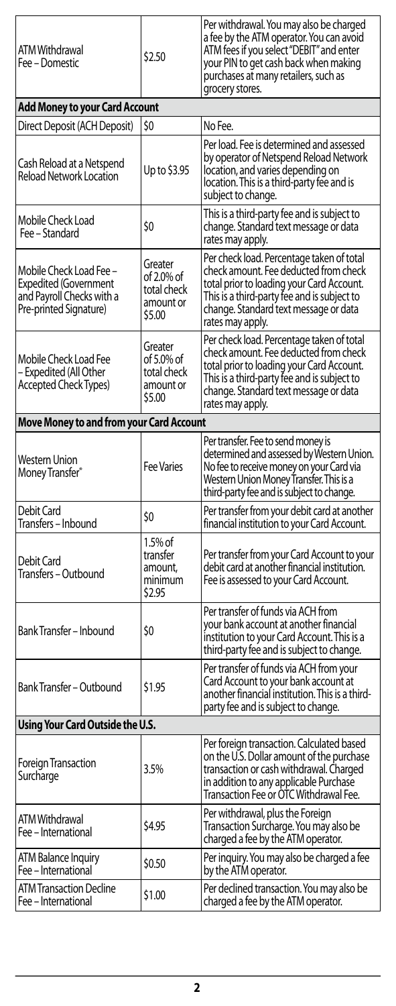| ATM Withdrawal<br>Fee – Domestic                                                                        | \$2.50                                                      | Per withdrawal. You may also be charged<br>a fee by the ATM operator. You can avoid<br>ATM fees if you select "DEBIT" and enter<br>your PIN to get cash back when making<br>purchases at many retailers, such as<br>grocery stores.         |  |
|---------------------------------------------------------------------------------------------------------|-------------------------------------------------------------|---------------------------------------------------------------------------------------------------------------------------------------------------------------------------------------------------------------------------------------------|--|
| Add Money to your Card Account                                                                          |                                                             |                                                                                                                                                                                                                                             |  |
| Direct Deposit (ACH Deposit)                                                                            | SO                                                          | No Fee.                                                                                                                                                                                                                                     |  |
| Cash Reload at a Netspend<br><b>Reload Network Location</b>                                             | Up to \$3.95                                                | Per load. Fee is determined and assessed<br>by operator of Netspend Reload Network<br>location, and varies depending on<br>location. This is a third-party fee and is<br>subject to change.                                                 |  |
| Mobile Check Load<br>Fee - Standard                                                                     | \$0                                                         | This is a third-party fee and is subject to<br>change. Standard text message or data<br>rates may apply.                                                                                                                                    |  |
| Mobile Check Load Fee –<br>Expedited (Government<br>and Payroll Checks with a<br>Pre-printed Signature) | Greater<br>of 2.0% of<br>total check<br>amount or<br>\$5.00 | Per check load. Percentage taken of total<br>check amount. Fee deducted from check<br>total prior to loading your Card Account.<br>This is a third-party fee and is subject to<br>change. Standard text message or data<br>rates may apply. |  |
| Mobile Check Load Fee<br>- Expedited (All Other<br><b>Accepted Check Types)</b>                         | Greater<br>of 5.0% of<br>total check<br>amount or<br>\$5.00 | Per check load. Percentage taken of total<br>check amount. Fee deducted from check<br>total prior to loading your Card Account.<br>This is a third-party fee and is subject to<br>change. Standard text message or data<br>rates may apply. |  |
| <b>Move Money to and from your Card Account</b>                                                         |                                                             |                                                                                                                                                                                                                                             |  |
| Western Union<br>Money Transfer®                                                                        | <b>Fee Varies</b>                                           | Per transfer. Fee to send money is<br>determined and assessed by Western Union.<br>No fee to receive money on your Card via<br>Western Union Money Transfer. This is a<br>third-party fee and is subject to change.                         |  |
| Debit Card<br>Transfers – Inbound                                                                       | \$0                                                         | Per transfer from your debit card at another<br>financial institution to your Card Account.                                                                                                                                                 |  |
| Debit Card<br>Transfers – Outbound                                                                      | 1.5% of<br>transfer<br>amount,<br>minimum<br>\$2.95         | Per transfer from your Card Account to your<br>debit card at another financial institution.<br>Fee is assessed to your Card Account.                                                                                                        |  |
| Bank Transfer – Inbound                                                                                 | \$0                                                         | Per transfer of funds via ACH from<br>your bank account at another financial<br>institution to your Card Account. This is a<br>third-party fee and is subject to change.                                                                    |  |
| Bank Transfer - Outbound                                                                                | \$1.95                                                      | Per transfer of funds via ACH from your<br>Card Account to your bank account at<br>another financial institution. This is a third-<br>party fee and is subject to change.                                                                   |  |
| Using Your Card Outside the U.S.                                                                        |                                                             |                                                                                                                                                                                                                                             |  |
| <b>Foreign Transaction</b><br>Surcharge                                                                 | 3.5%                                                        | Per foreign transaction. Calculated based<br>on the U.S. Dollar amount of the purchase<br>transaction or cash withdrawal. Charged<br>in addition to any applicable Purchase<br>Transaction Fee or OTC Withdrawal Fee.                       |  |
| ATM Withdrawal<br>Fee - International                                                                   | \$4.95                                                      | Per withdrawal, plus the Foreign<br>Transaction Surcharge. You may also be<br>charged a fee by the ATM operator.                                                                                                                            |  |
| ATM Balance Inquiry<br>Fee - International                                                              | \$0.50                                                      | Per inquiry. You may also be charged a fee<br>by the ATM operator.                                                                                                                                                                          |  |
| <b>ATM Transaction Decline</b><br>Fee - International                                                   | \$1.00                                                      | Per declined transaction. You may also be<br>charged a fee by the ATM operator.                                                                                                                                                             |  |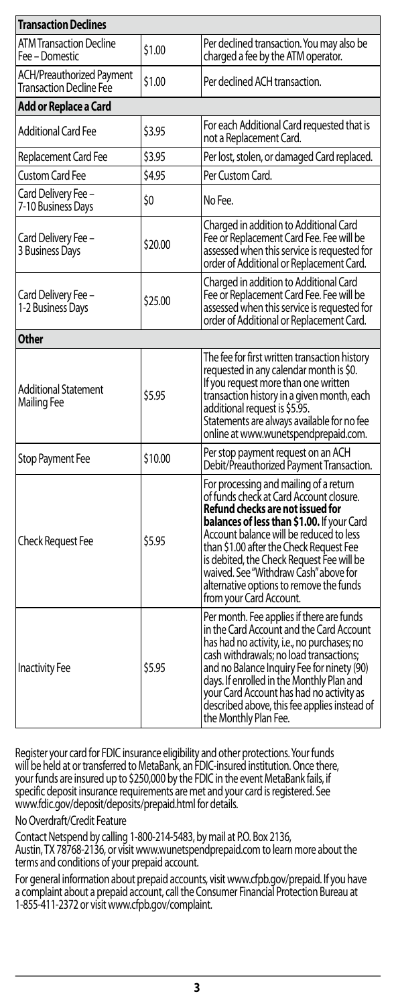| <b>Transaction Declines</b>                                 |         |                                                                                                                                                                                                                                                                                                                                                                                                                       |  |
|-------------------------------------------------------------|---------|-----------------------------------------------------------------------------------------------------------------------------------------------------------------------------------------------------------------------------------------------------------------------------------------------------------------------------------------------------------------------------------------------------------------------|--|
| <b>ATM Transaction Decline</b><br>Fee – Domestic            | \$1.00  | Per declined transaction. You may also be<br>charged a fee by the ATM operator.                                                                                                                                                                                                                                                                                                                                       |  |
| ACH/Preauthorized Payment<br><b>Transaction Decline Fee</b> | \$1.00  | Per declined ACH transaction.                                                                                                                                                                                                                                                                                                                                                                                         |  |
| Add or Replace a Card                                       |         |                                                                                                                                                                                                                                                                                                                                                                                                                       |  |
| <b>Additional Card Fee</b>                                  | \$3.95  | For each Additional Card requested that is<br>not a Replacement Card.                                                                                                                                                                                                                                                                                                                                                 |  |
| Replacement Card Fee                                        | \$3.95  | Per lost, stolen, or damaged Card replaced.                                                                                                                                                                                                                                                                                                                                                                           |  |
| <b>Custom Card Fee</b>                                      | \$4.95  | Per Custom Card.                                                                                                                                                                                                                                                                                                                                                                                                      |  |
| Card Delivery Fee -<br>7-10 Business Days                   | \$0     | No Fee.                                                                                                                                                                                                                                                                                                                                                                                                               |  |
| Card Delivery Fee -<br>3 Business Days                      | \$20.00 | Charged in addition to Additional Card<br>Fee or Replacement Card Fee. Fee will be<br>assessed when this service is requested for<br>order of Additional or Replacement Card.                                                                                                                                                                                                                                         |  |
| Card Delivery Fee -<br>1-2 Business Days                    | \$25.00 | Charged in addition to Additional Card<br>Fee or Replacement Card Fee. Fee will be<br>assessed when this service is requested for<br>order of Additional or Replacement Card.                                                                                                                                                                                                                                         |  |
| Other                                                       |         |                                                                                                                                                                                                                                                                                                                                                                                                                       |  |
| <b>Additional Statement</b><br>Mailing Fee                  | \$5.95  | The fee for first written transaction history<br>requested in any calendar month is \$0.<br>If you request more than one written<br>transaction history in a given month, each<br>additional request is \$5.95.<br>Statements are always available for no fee<br>online at www.wunetspendprepaid.com.                                                                                                                 |  |
| Stop Payment Fee                                            | \$10.00 | Per stop payment request on an ACH<br>Debit/Preauthorized Payment Transaction.                                                                                                                                                                                                                                                                                                                                        |  |
| <b>Check Request Fee</b>                                    | \$5.95  | For processing and mailing of a return<br>of funds check at Card Account closure.<br>Refund checks are not issued for<br>balances of less than \$1.00. If your Card<br>Account balance will be reduced to less<br>than \$1.00 after the Check Request Fee<br>is debited, the Check Reauest Fee will be<br>waived. See "Withdraw Cash" above for<br>alternative options to remove the funds<br>from your Card Account. |  |
| <b>Inactivity Fee</b>                                       | \$5.95  | Per month. Fee applies if there are funds<br>in the Card Account and the Card Account<br>has had no activity, i.e., no purchases; no<br>cash withdrawals; no load transactions;<br>and no Balance Inquiry Fee for ninety (90)<br>days. If enrolled in the Monthly Plan and<br>your Card Account has had no activity as<br>described above, this fee applies instead of<br>the Monthly Plan Fee.                       |  |

Register your card for FDIC insurance eligibility and other protections. Your funds<br>will be held at or transferred to MetaBank, an FDIC-insured institution. Once there,<br>your funds are insured up to \$250,000 by the FDIC in specific deposit insurance requirements are met and your card is registered. See www.fdic.gov/deposit/deposits/prepaid.html for details.

No Overdraft/Credit Feature

Contact Netspend by calling 1-800-214-5483, by mail at P.O. Box 2136, Austin, TX 78768-2136, or visit www.wunetspendprepaid.com to learn more about the terms and conditions of your prepaid account.

For general information about prepaid accounts, visit www.cfpb.gov/prepaid. If you have a complaint about a prepaid account, call the Consumer Financial Protection Bureau at 1-855-411-2372 or visit www.cfpb.gov/complaint.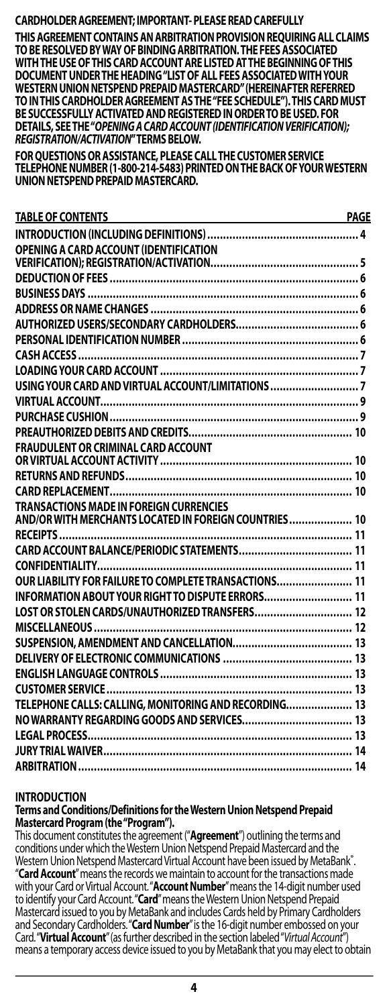### **CARDHOLDER AGREEMENT; IMPORTANT- PLEASE READCAREFULLY**

**THIS AGREEMENT CONTAINS AN ARBITRATION PROVISION REQUIRING ALL CLAIMS TO BE RESOLVED BY WAY OF BINDING ARBITRATION. THE FEES ASSOCIATED WITH THE USE OF THIS CARD ACCOUNT ARE LISTED AT THE BEGINNING OF THIS DOCUMENT UNDER THE HEADING "LIST OF ALL FEES ASSOCIATED WITH YOUR WESTERN UNION NETSPEND PREPAID MASTERCARD" (HEREINAFTER REFERRED TO IN THIS CARDHOLDER AGREEMENT AS THE "FEE SCHEDULE"). THIS CARD MUST BE SUCCESSFULLY ACTIVATED AND REGISTERED IN ORDER TO BE USED. FOR DETAILS, SEE THE "***OPENING A CARD ACCOUNT (IDENTIFICATION VERIFICATION); REGISTRATION/ACTIVATION***" TERMSBELOW.**

**FOR QUESTIONS OR ASSISTANCE, PLEASE CALL THE CUSTOMER SERVICE TELEPHONE NUMBER (1-800-214-5483) PRINTED ON THE BACK OF YOUR WESTERN UNION NETSPEND PREPAID MASTERCARD.**

| <b>TABLE OF CONTENTS</b>                                                                                | PAGE |
|---------------------------------------------------------------------------------------------------------|------|
|                                                                                                         |      |
| OPENING A CARD ACCOUNT (IDENTIFICATION                                                                  |      |
|                                                                                                         |      |
|                                                                                                         |      |
|                                                                                                         |      |
|                                                                                                         |      |
|                                                                                                         |      |
|                                                                                                         |      |
|                                                                                                         |      |
|                                                                                                         |      |
|                                                                                                         |      |
|                                                                                                         |      |
|                                                                                                         |      |
|                                                                                                         |      |
|                                                                                                         |      |
|                                                                                                         |      |
|                                                                                                         |      |
|                                                                                                         |      |
| <b>TRANSACTIONS MADE IN FOREIGN CURRENCIES</b><br>AND/OR WITH MERCHANTS LOCATED IN FOREIGN COUNTRIES 10 |      |
|                                                                                                         |      |
|                                                                                                         |      |
|                                                                                                         |      |
| OUR LIABILITY FOR FAILURE TO COMPLETE TRANSACTIONS 11                                                   |      |
|                                                                                                         |      |
| <b>INFORMATION ABOUT YOUR RIGHT TO DISPUTE ERRORS 11</b>                                                |      |
|                                                                                                         |      |
|                                                                                                         |      |
|                                                                                                         |      |
|                                                                                                         |      |
|                                                                                                         |      |
|                                                                                                         |      |
| TELEPHONE CALLS: CALLING, MONITORING AND RECORDING 13                                                   |      |
|                                                                                                         |      |
|                                                                                                         |      |
|                                                                                                         |      |
|                                                                                                         |      |

### **INTRODUCTION**

**Terms and Conditions/Definitions for the Western Union Netspend Prepaid Mastercard Program (the "Program").**

This document constitutes the agreement ("**Agreement**") outlining the terms and conditions under which the Western Union Netspend Prepaid Mastercard and the Western Union Netspend Mastercard Virtual Account have been issued by MetaBank®. . "**Card Account**" means the records we maintain to account for the transactions made with your Card or Virtual Account. "**Account Number**" means the 14-digit number used to identify your Card Account. "**Card**" means the Western Union Netspend Prepaid Mastercard issued to you by MetaBank and includes Cards held by Primary Cardholders and Secondary Cardholders. "**Card Number**" is the 16-digit number embossed on your Card. "**Virtual Account**" (as further described in the section labeled "*Virtual Account*") means a temporary access device issued to you by MetaBank that you may elect to obtain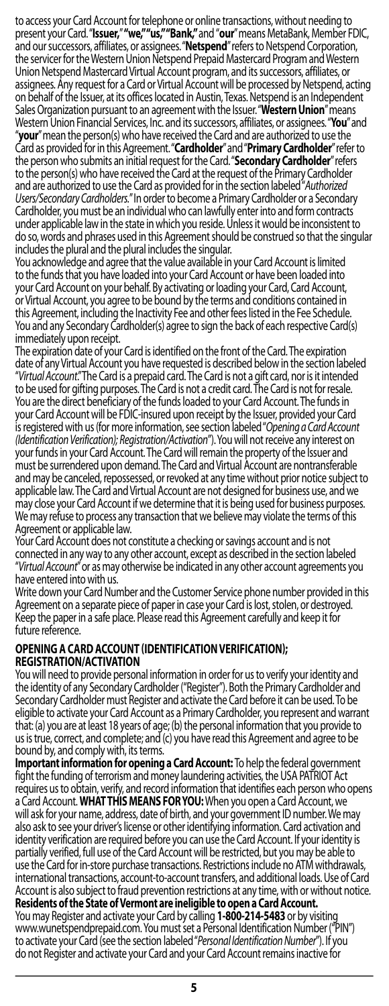<span id="page-4-0"></span>to access your Card Account for telephone or online transactions, without needing to present your Card. "**Issuer,**" **"we," "us," "Bank,"** and "**our**" means MetaBank, Member FDIC, and our successors, affiliates, or assignees. "**Netspend**" refers to Netspend Corporation, the servicer for the Western Union Netspend Prepaid Mastercard Program and Western Union Netspend Mastercard Virtual Account program, and its successors, affiliates, or assignees. Any request for a Card or Virtual Account will be processed by Netspend, acting on behalf of the Issuer, at its offices located in Austin, Texas. Netspend is an Independent Sales Organization pursuant to an agreement with the Issuer. "**Western Union**" means "your" mean the person(s) who have received the Card and are authorized to use the Card as provided for in this Agreement. "**Cardholder**" and "**Primary Cardholder**" refer to the person who submits an initial request for the Card. "**Secondary Cardholder**" refers to the person(s) who have received the Card at the request of the Primary Cardholder and are authorized to use the Card as provided for in the section labeled "*Authorized*  Cardholder, you must be an individual who can lawfully enter into and form contracts under applicable law in the state in which you reside. Unless it would be inconsistent to do so, words and phrases used in this Agreement should be construed so that the singular includes the plural and the plural includes the singular.

You acknowledge and agree that the value available in your Card Account is limited to the funds that you have loaded into your Card Account or have been loaded into your Card Account on your behalf. By activating or loading your Card, Card Account, or Virtual Account, you agree to be bound by the terms and conditions contained in this Agreement, including the Inactivity Fee and other fees listed in the Fee Schedule. You and any Secondary Cardholder(s) agree to sign the back of each respective Card(s) immediately upon receipt.

The expiration date of your Card is identified on the front of the Card. The expiration date of any Virtual Account you have requested is described below in the section labeled "*Virtual Account*." The Card is a prepaid card. The Card is not a gift card, nor is it intended to be used for gifting purposes. The Card is not a credit card. The Card is not for resale. You are the direct beneficiary of the funds loaded to your Card Account. The funds in your Card Account will be FDIC-insured upon receipt by the Issuer, provided your Card is registered with us (for more information, see section labeled "*Opening a Card Account*  your funds in your Card Account. The Card will remain the property of the Issuer and must be surrendered upon demand. The Card and Virtual Account are nontransferable and may be canceled, repossessed, or revoked at any time without prior notice subject to applicable law. The Card and Virtual Account are not designed for business use, and we may close your Card Account if we determine that it is being used for business purposes. We may refuse to process any transaction that we believe may violate the terms of this Agreement or applicable law.

Your Card Account does not constitute a checking or savings account and is not connected in any way to any other account, except as described in the section labeled "*Virtual Account*" or as may otherwise be indicated in any other account agreements you have entered into with us.

Write down your Card Number and the Customer Service phone number provided in this Agreement on a separate piece of paper in case your Card is lost, stolen, or destroyed. Keep the paper in a safe place. Please read this Agreement carefully and keep it for future reference.

#### **OPENING A CARD ACCOUNT (IDENTIFICATION VERIFICATION); REGISTRATION/ACTIVATION**

You will need to provide personal information in order for us to verify your identity and the identity of any Secondary Cardholder ("Register"). Both the Primary Cardholder and Secondary Cardholder must Register and activate the Card before it can be used. To be eligible to activate your Card Account as a Primary Cardholder, you represent and warrant that: (a) you are at least 18 years of age; (b) the personal information that you provide to us is true, correct, and complete; and (c) you have read this Agreement and agree to be bound by, and comply with, itsterms.

**Important information for opening a Card Account:** To help the federal government fight the funding of terrorism and money laundering activities, the USA PATRIOT Act requires us to obtain, verify, and record information that identifies each person who opens<br>a Card Account. WHAT THIS MEANS FOR YOU: When you open a Card Account, we will ask for your name, address, date of birth, and your government ID number. We may also ask to see your driver's license or other identifying information. Card activation and identity verification are required before you can use the Card Account. If your identity is partially verified, full use of the Card Account will be restricted, but you may be able to use the Card for in-store purchase transactions. Restrictions include no ATM withdrawals, international transactions, account-to-account transfers, and additional loads. Use of Card Account is also subject to fraud prevention restrictions at any time, with or without notice. **Residents of the State of Vermont are ineligible to open a Card Account.**<br>You may Register and activate your Card by calling 1-800-214-5483 or by visiting

www.wunetspendprepaid.com. You must set a Personal Identification Number ("PIN")<br>to activate your Card (see the section labeled "Person*al Identification Number*"). If you do not Register and activate your Card and your Card Account remains inactive for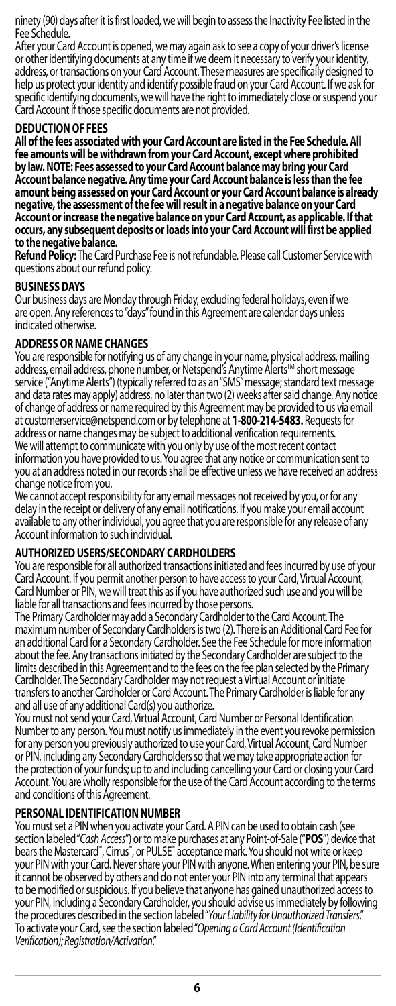<span id="page-5-0"></span>ninety (90) days after it is first loaded, we will begin to assess the Inactivity Fee listed in the Fee Schedule.

After your Card Account is opened, we may again ask to see a copy of your driver's license or other identifying documents at any time if we deem it necessary to verify your identity, address, or transactions on your Card Account. These measures are specifically designed to help us protect your identity and identify possible fraud on your Card Account. If we ask for specific identifying documents, we will have the right to immediately close or suspend your Card Account if those specific documents are not provided.

# **DEDUCTION OF FEES**

**All of the fees associated with your Card Account are listed in the Fee Schedule. All fee amounts will be withdrawn from your Card Account, except where prohibited by law. NOTE: Fees assessed to your Card Account balance may bring your Card**  Account balance negative. Any time your Card Account balance is less than the fee<br>amount being assessed on your Card Account or your Card Account balance is already<br>negative, the assessment of the fee will result in a nega **occurs, any subsequent deposits or loads into your Card Account will first be applied to the negativebalance.**

**Refund Policy:** The Card Purchase Fee is not refundable. Please call Customer Service with questions about our refund policy.

### **BUSINESSDAYS**

Our business days are Monday through Friday, excluding federal holidays, even if we are open. Any references to "days" found in this Agreement are calendar days unless indicated otherwise.

# **ADDRESS OR NAME CHANGES**

You are responsible for notifying us of any change in your name, physical address, mailing<br>address, email address, phone number, or Netspend's Anytime Alerts™ short message<br>service ("Anytime Alerts") (typically referred t and data rates may apply) address, no later than two (2) weeks after said change. Any notice of change of address or name required by this Agreement may be provided to us via email at customerservice@netspend.com or by telephone at **1-800-214-5483.** Requests for address or name changes may be subject to additional verification requirements. We will attempt to communicate with you only by use of the most recent contact information you have provided to us. You agree that any notice or communication sent to you at an address noted in our records shall be effective unless we have received an address change notice from you.

We cannot accept responsibility for any email messages not received by you, or for any delay in the receipt or delivery of any email notifications. If you make your email account available to any other individual, you agree that you are responsible for any release of any Account information to such individual.

### **AUTHORIZED USERS/SECONDARY CARDHOLDERS**

You are responsible for all authorized transactions initiated and fees incurred by use of your Card Account. If you permit another person to have access to your Card, Virtual Account, Card Number or PIN, we will treat this as if you have authorized such use and you will be liable for all transactions and fees incurred by those persons.

The Primary Cardholder may add a Secondary Cardholder to the Card Account. The maximum number of Secondary Cardholders is two (2). There is an Additional Card Fee for an additional Card for a Secondary Cardholder. See the Fee Schedule for more information about the fee. Any transactions initiated by the Secondary Cardholder are subject to the limits described in this Agreement and to the fees on the fee plan selected by the Primary Cardholder. The Secondary Cardholder may not request a Virtual Account or initiate transfers to another Cardholder or Card Account. The Primary Cardholder is liable for any

and all use of any additional Card(s) you authorize. You must not send your Card, Virtual Account, Card Number or Personal Identification Number to any person. You must notify us immediately in the event you revoke permission for any person you previously authorized to use your Card, Virtual Account, Card Number or PIN, including any Secondary Cardholders so that we may take appropriate action for the protection of your funds; up to and including cancelling your Card or closing your Card Account. You are wholly responsible for the use of the Card Account according to the terms and conditions of this Agreement.

### **PERSONAL IDENTIFICATION NUMBER**

You must set a PIN when you activate your Card. A PIN can be used to obtain cash (see section labeled "*Cash Access*") or to make purchases at any Point-of-Sale ("**POS**") device that bears the Mastercard<sup>®</sup>, Cirrus<sup>®</sup>, or PULSE<sup>®</sup> acceptance mark. You should not write or keep your PIN with your Card. Never share your PIN with anyone. When entering your PIN, be sure it cannot be observed by others and do not enter your PIN into any terminal that appears to be modified or suspicious. If you believe that anyone has gained unauthorized access to your PIN, including a Secondary Cardholder, you should advise us immediately by following the procedures described in the section labeled "*Your Liability for UnauthorizedTransfers*." To activate your Card, see the section labeled "*Opening a Card Account (Identification Verification); Registration/Activation*."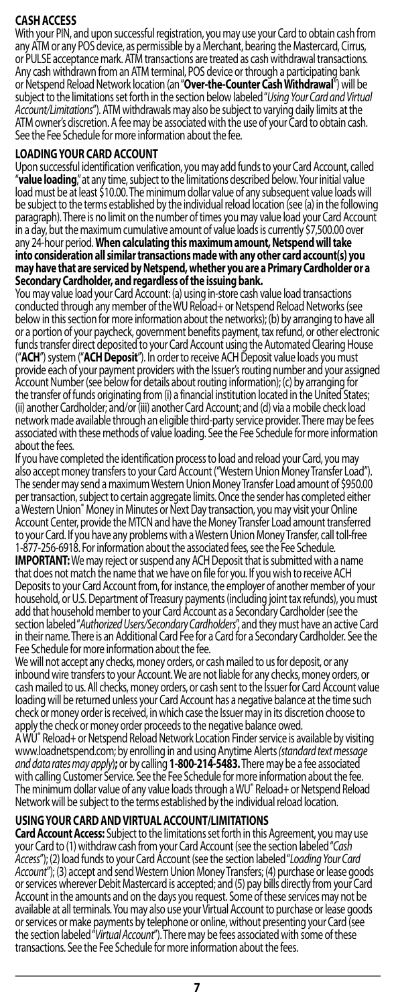# <span id="page-6-0"></span>**CASHACCESS**

With your PIN, and upon successful registration, you may use your Card to obtain cash from any ATM or any POS device, as permissible by a Merchant, bearing the Mastercard, Cirrus, or PULSE acceptance mark. ATM transactions are treated as cash withdrawal transactions. Any cash withdrawn from an ATM terminal, POS device or through a participating bank or Netspend Reload Network location (an "**Over-the-Counter Cash Withdrawal**") will be subject to the limitations set forth in the section below labeled "*Using Your Card and Virtual*  ATM owner's discretion. A fee may be associated with the use of your Card to obtain cash. See the Fee Schedule for more information about the fee.

# **LOADING YOUR CARDACCOUNT**

Upon successtul identification verification, you may add funds to your Card Account, called<br>**"value loading,"** at any time, subject to the limitations described below. Your initial value<br>load must be at least \$10.00.The mi be subject to the terms established by the individual reload location (see (a) in the following paragraph). There is no limit on the number of times you may value load your Card Account in a day, but the maximum cumulative amount of value loads is currently \$7,500.00 over any 24-hour period. **When calculating this maximum amount, Netspend will take into consideration all similar transactions made with any other card account(s) you may have that are serviced by Netspend, whether you are a Primary Cardholder or a**  Secondary Cardholder, and regardless of the issuing bank.

You may value load your Card Account: (a) using in-store cash value load transactions conducted through any member of the WU Reload+ or Netspend Reload Networks (see below in this section for more information about the networks); (b) by arranging to have all or a portion of your paycheck, government benefits payment, tax refund, or other electronic funds transfer direct deposited to your Card Account using the Automated Clearing House<br>("**ACH**") system ("**ACH Deposit**"). In order to receive ACH Deposit value loads you must provide each of your payment providers with the Issuer's routing number and your assigned Account Number (see below for details about routing information); (c) by arranging for the transfer of funds originating from (i) a financial institution located in the United States; (ii) another Cardholder; and/or (iii) another Card Account; and (d) via a mobile check load network made available through an eligible third-party service provider. There may be fees associated with these methods of value loading. See the Fee Schedule for more information about the fees.

If you have completed the identification process to load and reload your Card, you may also accept money transfers to your Card Account ("Western Union Money Transfer Load"). The sender may send a maximum Western Union Money Transfer Load amount of \$950.00 per transaction, subject to certain aggregate limits. Once the sender has completed either a Western Union® Money in Minutes or Next Day transaction, you may visit your Online Account Center, provide the MTCN and have the Money Transfer Load amount transferred to your Card. If you have any problems with a Western Union Money Transfer, call toll-free 1-877-256-6918. For information about the associated fees, see the Fee Schedule*.* that does not match the name that we have on file for you. If you wish to receive ACH Deposits to your Card Account from, for instance, the employer of another member of your household, or U.S. Department of Treasury payments (including joint tax refunds), you must add that household member to your Card Account as a Secondary Cardholder (see the section labeled "*Authorized Users/Secondary Cardholders*", and they must have an active Card in their name. There is an Additional Card Fee for a Card for a Secondary Cardholder. See the Fee Schedule for more information about the fee.

We will not accept any checks, money orders, or cash mailed to us for deposit, or any inbound wire transfers to your Account. We are not liable for any checks, money orders, or cash mailed to us. All checks, money orders, or cash sent to the Issuer for Card Account value loading will be returned unless your Card Account has a negative balance at the time such check or money order is received, in which case the Issuer may in its discretion choose to apply the check or money order proceeds to the negative balance owed.

A WU® Reload+ or Netspend Reload Network Location Finder service is available by visiting www.loadnetspend.com; by enrolling in and using Anytime Alerts *(standard text message*  with calling Customer Service. See the Fee Schedule for more information about the fee. The minimum dollar value of any value loads through a WU® Reload+ or Netspend Reload Network will be subject to the terms established by the individual reload location.

**USING YOUR CARD AND VIRTUAL ACCOUNT/LIMITATIONS** your Card to (1) withdraw cash from your Card Account (see the section labeled "Cash *Access*"); (2) load funds to your Card Account (see the section labeled "*Loading Your Card*  Account"); (3) accept and send Western Union Money Transfers; (4) purchase or lease goods<br>or services wherever Debit Mastercard is accepted; and (5) pay bills directly from your Card<br>Account in the amounts and on the days available at all terminals. You may also use your Virtual Account to purchase or lease goods or services or make payments by telephone or online, without presenting your Card (see<br>the section labeled "Virtual Account"). There may be fees associated with some of these transactions. See the Fee Schedule for more information about the fees.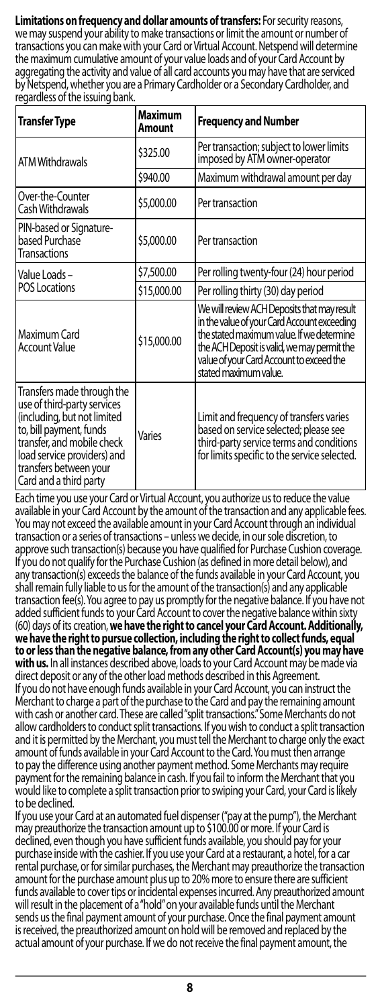**Limitations on frequency and dollar amounts of transfers:** For security reasons, we may suspend your ability to make transactions or limit the amount or number of transactions you can make with your Card or Virtual Account. Netspend will determine the maximum cumulative amount of your value loads and of your Card Account by aggregating the activity and value of all card accounts you may have that are serviced by Netspend, whether you are a Primary Cardholder or a Secondary Cardholder, and regardless of the issuing bank.

| Transfer Type                                                                                                                                                                                                                        | Maximum<br>Amount | <b>Frequency and Number</b>                                                                                                                                                                                                                                 |
|--------------------------------------------------------------------------------------------------------------------------------------------------------------------------------------------------------------------------------------|-------------------|-------------------------------------------------------------------------------------------------------------------------------------------------------------------------------------------------------------------------------------------------------------|
| <b>ATM Withdrawals</b>                                                                                                                                                                                                               | \$325.00          | Per transaction; subject to lower limits<br>imposed by ATM owner-operator                                                                                                                                                                                   |
|                                                                                                                                                                                                                                      | \$940.00          | Maximum withdrawal amount per day                                                                                                                                                                                                                           |
| Over-the-Counter<br>Cash Withdrawals                                                                                                                                                                                                 | \$5,000.00        | Per transaction                                                                                                                                                                                                                                             |
| PIN-based or Signature-<br>based Purchase<br><b>Transactions</b>                                                                                                                                                                     | \$5,000.00        | Per transaction                                                                                                                                                                                                                                             |
| Value Loads-                                                                                                                                                                                                                         | \$7,500.00        | Per rolling twenty-four (24) hour period                                                                                                                                                                                                                    |
| <b>POS Locations</b>                                                                                                                                                                                                                 | \$15,000.00       | Per rolling thirty (30) day period                                                                                                                                                                                                                          |
| l Maximum Card<br><b>Account Value</b>                                                                                                                                                                                               | \$15,000.00       | We will review ACH Deposits that may result<br>in the value of your Card Account exceeding<br>the stated maximum value. If we determine<br>the ACH Deposit is valid, we may permit the<br>value of your Card Account to exceed the<br>stated maximum value. |
| Transfers made through the<br>use of third-party services<br>(including, but not limited<br>to, bill payment, funds<br>transfer, and mobile check<br>load service providers) and<br>transfers between your<br>Card and a third party | Varies            | Limit and frequency of transfers varies<br>based on service selected; please see<br>third-party service terms and conditions<br>for limits specific to the service selected.                                                                                |

Each time you use your Card or Virtual Account, you authorize us to reduce the value available in your Card Account by the amount of the transaction and any applicable fees. You may not exceed the available amount in your Card Account through an individual transaction or a series of transactions – unless we decide, in our sole discretion, to approve such transaction(s) because you have qualified for Purchase Cushion coverage. If you do not qualify for the Purchase Cushion (as defined in more detail below), and any transaction(s) exceeds the balance of the funds available in your Card Account, you shall remain fully liable to us for the amount of the transaction(s) and any applicable transaction fee(s). You agree to pay us promptly for the negative balance. If you have not added sufficient funds to your Card Account to cover the negative balance within sixty (60) days of its creation, **we have the right to cancel your Card Account. Additionally, we have the right to pursue collection, including the right to collect funds, equal to or less than the negative balance, from any other Card Account(s) you may have with us.** In all instances described above, loads to your Card Account may be made via direct deposit or any of the other load methods described in this Agreement. If you do not have enough funds available in your Card Account, you can instruct the Merchant to charge a part of the purchase to the Card and pay the remaining amount with cash or another card. These are called "split transactions." Some Merchants do not allow cardholders to conduct split transactions. If you wish to conduct a split transaction and it is permitted by the Merchant, you must tell the Merchant to charge only the exact amount of funds available in your Card Account to the Card. You must then arrange to pay the difference using another payment method. Some Merchants may require payment for the remaining balance in cash. If you fail to inform the Merchant that you would like to complete a split transaction prior to swiping your Card, your Card is likely to be declined.

If you use your Card at an automated fuel dispenser ("pay at the pump"), the Merchant may preauthorize the transaction amount up to \$100.00 or more. If your Card is declined, even though you have sufficient funds available, you should pay for your purchase inside with the cashier. If you use your Card at a restaurant, a hotel, for a car rental purchase, or for similar purchases, the Merchant may preauthorize the transaction amount for the purchase amount plus up to 20% more to ensure there are sufficient funds available to cover tips or incidental expenses incurred. Any preauthorized amount will result in the placement of a "hold" on your available funds until the Merchant sends us the final payment amount of your purchase. Once the final payment amount is received, the preauthorized amount on hold will be removed and replaced by the actual amount of your purchase. If we do not receive the final payment amount, the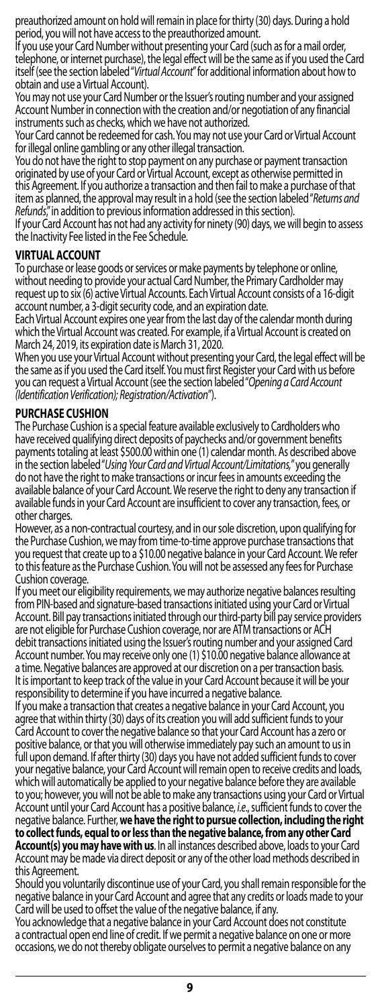<span id="page-8-0"></span>preauthorized amount on hold will remain in place for thirty (30) days. During a hold period, you will not have access to the preauthorized amount.

If you use your Card Number without presenting your Card (such as for a mail order, telephone, or internet purchase), the legal effect will be the same as if you used the Card itself (see the section labeled "*Virtual Account*" for additional information about how to obtain and use a Virtual Account).

You may not use your Card Number or the Issuer's routing number and your assigned Account Number in connection with the creation and/or negotiation of any financial instruments such as checks, which we have not authorized.

Your Card cannot be redeemed for cash. You may not use your Card or Virtual Account for illegal online gambling or any other illegal transaction.

You do not have the right to stop payment on any purchase or payment transaction originated by use of your Card or Virtual Account, except as otherwise permitted in this Agreement. If you authorize a transaction and then fail to make a purchase of that item as planned, the approval may result in a hold (see the section labeled "*Returns and Refunds*," in addition to previous information addressed in this section).

If your Card Account has not had any activity for ninety (90) days, we will begin to assess the Inactivity Fee listed in the Fee Schedule.

# **VIRTUAL ACCOUNT**

To purchase or lease goods or services or make payments by telephone or online, without needing to provide your actual Card Number, the Primary Cardholder may request up to six (6) active Virtual Accounts. Each Virtual Account consists of a 16-digit account number, a 3-digit security code, and an expiration date.

Each Virtual Account expires one year from the last day of the calendar month during which the Virtual Account was created. For example, if a Virtual Account is created on March 24, 2019, its expiration date is March 31, 2020.

When you use your Virtual Account without presenting your Card, the legal effect will be the same as if you used the Card itself. You must first Register your Card with us before you can request a Virtual Account (see the section labeled "*Opening a Card Account (Identification Verification); Registration/Activation*").

# **PURCHASE CUSHION**

The Purchase Cushion is a special feature available exclusively to Cardholders who have received qualifying direct deposits of paychecks and/or government benefits payments totaling at least \$500.00 within one (1) calendar month. As described above<br>in the section labeled "Using Your Card and Virtual Account/Limitations," you generally do not have the right to make transactions or incur fees in amounts exceeding the available balance of your Card Account. We reserve the right to deny any transaction if available funds in your Card Account are insufficient to cover any transaction, fees, or other charges.

However, as a non-contractual courtesy, and in our sole discretion, upon qualifying for the Purchase Cushion, we may from time-to-time approve purchase transactions that you request that create up to a \$10.00 negative balance in your Card Account. We refer to this feature as the Purchase Cushion. You will not be assessed any fees for Purchase Cushion coverage.

If you meet our eligibility requirements, we may authorize negative balances resulting from PIN-based and signature-based transactions initiated using your Card or Virtual Account. Bill pay transactions initiated through our third-party bill pay service providers are not eligible for Purchase Cushion coverage, nor are ATM transactions or ACH debit transactions initiated using the Issuer's routing number and your assigned Card Account number. You may receive only one (1) \$10.00 negative balance allowance at a time. Negative balances are approved at our discretion on a per transaction basis. It is important to keep track of the value in your Card Account because it will be your responsibility to determine if you have incurred a negative balance.

If you make a transaction that creates a negative balance in your Card Account, you agree that within thirty (30) days of its creation you will add sufficient funds to your Card Account to cover the negative balance so that your Card Account has a zero or positive balance, or that you will otherwise immediately pay such an amount to us in full upon demand. If after thirty (30) days you have not added sufficient funds to cover your negative balance, your Card Account will remain open to receive credits and loads, which will automatically be applied to your negative balance before they are available to you; however, you will not be able to make any transactions using your Card or Virtual Account until your Card Account has a positive balance, *i.e*., sufficient funds to cover the negative balance. Further, **we have the right to pursue collection, including the right**  to collect funds, equal to or less than the negative balance, from any other Card<br>Account(s) you may have with us. In all instances described above, loads to your Card Account may be made via direct deposit or any of the other load methods described in this Agreement.

Should you voluntarily discontinue use of your Card, you shall remain responsible for the negative balance in your Card Account and agree that any credits or loads made to your Card will be used to offset the value of the negative balance, if any.

You acknowledge that a negative balance in your Card Account does not constitute a contractual open end line of credit. If we permit a negative balance on one or more occasions, we do not thereby obligate ourselves to permit a negative balance on any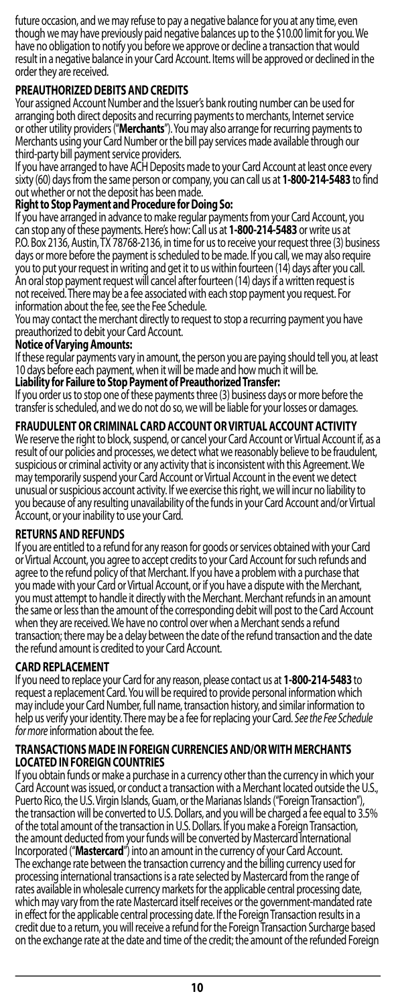<span id="page-9-0"></span>future occasion, and we may refuse to pay a negative balance for you at any time, even though we may have previously paid negative balances up to the \$10.00 limit for you. We have no obligation to notify you before we approve or decline a transaction that would result in a negative balance in your Card Account. Items will be approved or declined in the order they are received.

# **PREAUTHORIZED DEBITS ANDCREDITS**

Your assigned Account Number and the Issuer's bank routing number can be used for arranging both direct deposits and recurring payments to merchants, Internet service or other utility providers ("**Merchants**"). You may also arrange for recurring payments to Merchants using your Card Number or the bill pay services made available through our third-party bill payment service providers.

If you have arranged to have ACH Deposits made to your Card Account at least once every sixty (60) days from the same person or company, you can call us at **1-800-214-5483** to find out whether or not the deposit has been made.

# **Right to Stop Payment and Procedure for Doing So:**

If you have arranged in advance to make regular payments from your Card Account, you can stop any of these payments. Here's how: Call us at **1-800-214-5483** or write us at days or more before the payment is scheduled to be made. If you call, we may also require you to put your request in writing and get it to us within fourteen (14) days after you call. An oral stop payment request will cancel after fourteen (14) days if a written request is not received. There may be a fee associated with each stop payment you request. For information about the fee, see the Fee Schedule.

You may contact the merchant directly to request to stop a recurring payment you have preauthorized to debit your Card Account.

### **Notice of VaryingAmounts:**

If these regular payments vary in amount, the person you are paying should tell you, at least 10 days before each payment, when it will be made and how much it will be.

**Liability for Failure to Stop Payment of PreauthorizedTransfer:**

If you order us to stop one of these payments three (3) business days or more before the transfer is scheduled, and we do not do so, we will be liable for your losses or damages.

# **FRAUDULENT OR CRIMINAL CARD ACCOUNT OR VIRTUAL ACCOUNT ACTIVITY**

We reserve the right to block, suspend, or cancel your Card Account or Virtual Account if, as a result of our policies and processes, we detect what we reasonably believe to be fraudulent, suspicious or criminal activity or any activity that is inconsistent with this Agreement. We may temporarily suspend your Card Account or Virtual Account in the event we detect unusual or suspicious account activity. If we exercise this right, we will incur no liability to you because of any resulting unavailability of the funds in your Card Account and/or Virtual Account, or your inability to use your Card.

### **RETURNS ANDREFUNDS**

If you are entitled to a refund for any reason for goods or services obtained with your Card or Virtual Account, you agree to accept credits to your Card Account for such refunds and agree to the refund policy of that Merchant. If you have a problem with a purchase that you made with your Card or Virtual Account, or if you have a dispute with the Merchant, you must attempt to handle it directly with the Merchant. Merchant refunds in an amount the same or less than the amount of the corresponding debit will post to the Card Account when they are received. We have no control over when a Merchant sends a refund transaction; there may be a delay between the date of the refund transaction and the date the refund amount is credited to your Card Account.

### **CARD REPLACEMENT**

If you need to replace your Card for any reason, please contact us at **1-800-214-5483** to request a replacement Card. You will be required to provide personal information which may include your Card Number, full name, transaction history, and similar information to help us verify your identity. There may be a fee for replacing your Card. *See the Fee Schedule for more* information about the fee.

#### **TRANSACTIONS MADE IN FOREIGN CURRENCIES AND/OR WITH MERCHANTS LOCATED IN FOREIGN COUNTRIES**

If you obtain funds or make a purchase in a currency other than the currency in which your Card Account was issued, or conduct a transaction with a Merchant located outside the U.S., Puerto Rico, the U.S. Virgin Islands, Guam, or the Marianas Islands ("Foreign Transaction"), the transaction will be converted to U.S. Dollars, and you will be charged a fee equal to 3.5% of the total amount of the transaction in U.S. Dollars. If you make a Foreign Transaction, the amount deducted from your funds will be converted by Mastercard International<br>Incorporated ("**Mastercard"**) into an amount in the currency of your Card Account.<br>The exchange rate between the transaction currency and th processing international transactions is a rate selected by Mastercard from the range of rates available in wholesale currency markets for the applicable central processing date, which may vary from the rate Mastercard itself receives or the government-mandated rate in effect for the applicable central processing date. If the Foreign Transaction results in a credit due to a return, you will receive a refund for the Foreign Transaction Surcharge based on the exchange rate at the date and time of the credit; the amount of the refunded Foreign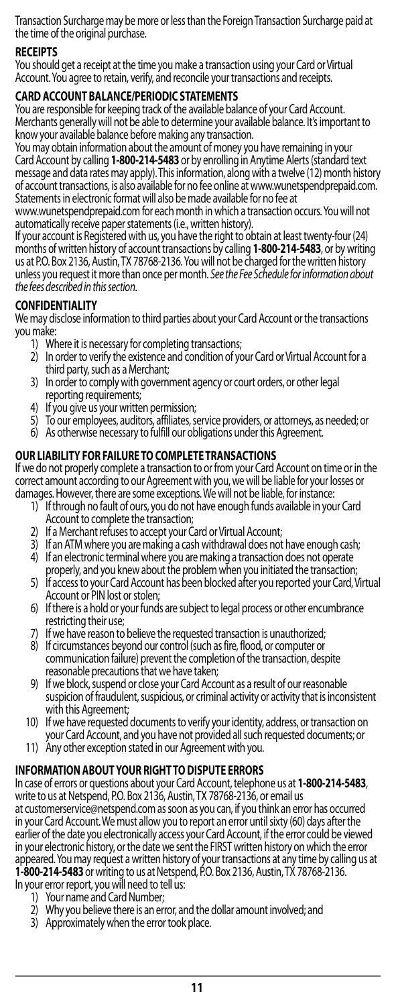<span id="page-10-0"></span>Transaction Surcharge may be more or less than the Foreign Transaction Surcharge paid at the time of the original purchase.

# **RECEIPTS**

You should get a receipt at the time you make a transaction using your Card or Virtual Account. You agree to retain, verify, and reconcile your transactions and receipts.

# **CARD ACCOUNT BALANCE/PERIODIC STATEMENTS**

You are responsible for keeping track of the available balance of your Card Account. Merchants generally will not be able to determine your available balance. It's important to know your available balance before making any transaction.

You may obtain information about the amount of money you have remaining in your<br>Card Account by calling **1-800-214-5483** or by enrolling in Anytime Alerts (standard text message and data rates may apply). This information, along with a twelve (12) month history of account transactions, is also available for no fee online at www.wunetspendprepaid.com. Statements in electronic format will also be made available for no fee at

www.wunetspendprepaid.com for each month in which a transaction occurs. You will not automatically receive paper statements (i.e., written history).

If your account is Registered with us, you have the right to obtain at least twenty-four (24) months of written history of account transactions by calling **1-800-214-5483**, or by writing us at P.O. Box 2136, Austin, TX 78768-2136. You will not be charged for the written history unless you request it more than once per month. *See the Fee Schedule for information about the fees described in thissection*.

### **CONFIDENTIALITY**

We may disclose information to third parties about your Card Account or the transactions you make:

- 1) Where it is necessary for completing transactions;
- 2) In order to verify the existence and condition of your Card or Virtual Account for a third party, such as a Merchant;
- 3) In order to comply with government agency or court orders, or other legal reporting requirements;
- 4) If you give us your written permission;
- 5) To our employees, auditors, affiliates, service providers, or attorneys, as needed; or
- 6) As otherwise necessary to fulfill our obligations under this Agreement.

### **OUR LIABILITY FOR FAILURE TO COMPLETETRANSACTIONS**

If we do not properly complete a transaction to or from your Card Account on time or in the correct amount according to our Agreement with you, we will be liable for your losses or damages. However, there are some exceptions. We will not be liable, for instance:

- 1) If through no fault of ours, you do not have enough funds available in your Card Account to complete the transaction;
- 2) If a Merchant refuses to accept your Card or Virtual Account;
- 3) If an ATM where you are making a cash withdrawal does not have enough cash;
- 4) If an electronic terminal where you are making a transaction does not operate
- properly, and you knew about the problem when you initiated the transaction; 5) If access to your Card Account has been blocked after you reported your Card, Virtual Account or PIN lost orstolen;
- 6) If there is a hold or your funds are subject to legal process or other encumbrance restricting their use;
- 7) If we have reason to believe the requested transaction is unauthorized;
- 8) If circumstances beyond our control (such as fire, flood, or computer or communication failure) prevent the completion of the transaction, despite reasonable precautions that we have taken;
- 9) If we block, suspend or close your Card Account as a result of our reasonable suspicion of fraudulent, suspicious, or criminal activity or activity that is inconsistent with this Agreement;
- 10) If we have requested documents to verify your identity, address, or transaction on your Card Account, and you have not provided all such requested documents; or
- 11) Any other exception stated in our Agreement with you.

### **INFORMATION ABOUT YOUR RIGHT TO DISPUTE ERRORS**

In case of errors or questions about your Card Account, telephone us at **1-800-214-5483**,<br>write to us at Netspend, P.O. Box 2136, Austin, TX 78768-2136, or email us<br>at customerservice@netspend.com as soon as you can, if yo in your Card Account. We must allow you to report an error until sixty (60) days after the earlier of the date you electronically access your Card Account, if the error could be viewed in your electronic history, or the date we sent the FIRST written history on which the error appeared. You may request a written history of your transactions at any time by calling us at **1-800-214-5483** or writing to us at Netspend, P.O. Box 2136, Austin, TX 78768-2136.

- In your error report, you will need to tell us: Your name and Card Number;
	- 2) Why you believe there is an error, and the dollar amount involved; and
	- 3) Approximately when the error took place.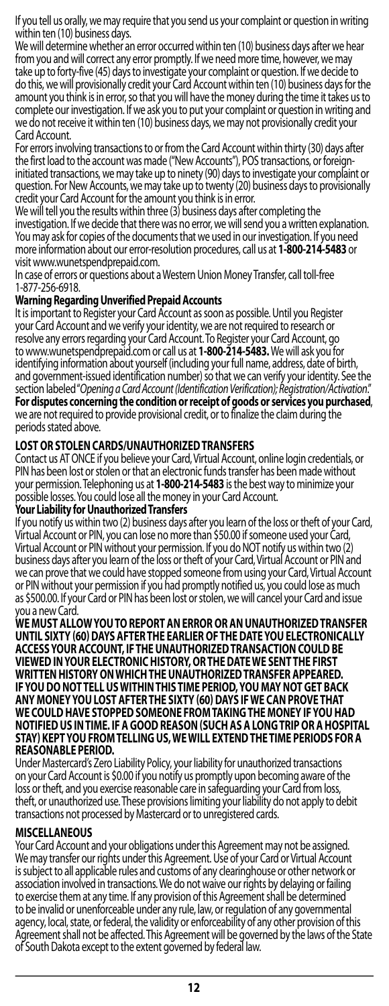<span id="page-11-0"></span>If you tell us orally, we may require that you send us your complaint or question in writing within ten (10) business days.

We will determine whether an error occurred within ten (10) business days after we hear from you and will correct any error promptly. If we need more time, however, we may take up to forty-five (45) days to investigate your complaint or question. If we decide to do this, we will provisionally credit your Card Account within ten (10) business days for the amount you think is in error, so that you will have the money during the time it takes us to complete our investigation. If we ask you to put your complaint or question in writing and we do not receive it within ten (10) business days, we may not provisionally credit your Card Account.

For errors involving transactions to or from the Card Account within thirty (30) days after the first load to the account was made ("New Accounts"), POS transactions, or foreigninitiated transactions, we may take up to ninety (90) days to investigate your complaint or question. For New Accounts, we may take up to twenty (20) business days to provisionally credit your Card Account for the amount you think is in error.

We will tell you the results within three (3) business days after completing the investigation. If we decide that there was no error, we will send you a written explanation. You may ask for copies of the documents that we used in our investigation. If you need more information about our error-resolution procedures, call us at 1-800-214-5483 or<br>visit www.wunetspendprepaid.com.

In case of errors or questions about a Western Union Money Transfer, call toll-free 1-877-256-6918.

# **Warning Regarding Unverified Prepaid Accounts**

It is important to Register your Card Account as soon as possible. Until you Register your Card Account and we verify your identity, we are not required to research or resolve any errors regarding your Card Account. To Register your Card Account, go<br>to www.wunetspendprepaid.com or call us at 1-800-214-5483. We will ask you for identifying information about yourself (including your full name, address, date of birth, and government-issued identification number) so that we can verify your identity. See the section labeled "*Opening a Card Account (Identification Verification); Registration/Activation*." **For disputes concerning the condition or receipt of goods or services you purchased**, we are not required to provide provisional credit, or to finalize the claim during the periods stated above.

# **LOST OR STOLEN CARDS/UNAUTHORIZEDTRANSFERS**

Contact us AT ONCE if you believe your Card, Virtual Account, online login credentials, or PIN has been lost or stolen or that an electronic funds transfer has been made without your permission. Telephoning us at **1-800-214-5483** is the best way to minimize your possible losses. You could lose all the money in your Card Account. **Your Liability for UnauthorizedTransfers**

If you notify us within two (2) business days after you learn of the loss or theft of your Card, Virtual Account or PIN, you can lose no more than \$50.00 if someone used your Card, Virtual Account or PIN without your permission. If you do NOT notify us within two (2) business days after you learn of the loss or theft of your Card, Virtual Account or PIN and we can prove that we could have stopped someone from using your Card, Virtual Account or PIN without your permission if you had promptly notified us, you could lose as much as \$500.00. If your Card or PIN has been lost or stolen, we will cancel your Card and issue you a new Card.

**WE MUST ALLOW YOU TO REPORT AN ERROR OR AN UNAUTHORIZED TRANSFER UNTIL SIXTY (60) DAYS AFTER THE EARLIER OF THE DATE YOU ELECTRONICALLY ACCESS YOUR ACCOUNT, IF THE UNAUTHORIZED TRANSACTION COULD BE VIEWED IN YOUR ELECTRONIC HISTORY, OR THE DATE WE SENT THE FIRST WRITTEN HISTORY ON WHICH THE UNAUTHORIZED TRANSFER APPEARED. IF YOU DO NOT TELL US WITHIN THIS TIME PERIOD, YOU MAY NOT GET BACK ANY MONEY YOU LOST AFTER THE SIXTY (60) DAYS IF WE CAN PROVE THAT WE COULD HAVE STOPPED SOMEONE FROM TAKING THE MONEY IF YOU HAD NOTIFIED US IN TIME. IF A GOOD REASON (SUCH AS A LONG TRIP OR A HOSPITAL STAY) KEPT YOU FROM TELLING US, WE WILL EXTEND THE TIME PERIODS FOR A REASONABLE PERIOD.**

Under Mastercard's Zero Liability Policy, your liability for unauthorized transactions on your Card Account is \$0.00 if you notify us promptly upon becoming aware of the loss or theft, and you exercise reasonable care in safeguarding your Card from loss theft, or unauthorized use. These provisions limiting your liability do not apply to debit transactions not processed by Mastercard or to unregistered cards.

# **MISCELLANEOUS**

Your Card Account and your obligations under this Agreement may not be assigned. We may transfer our rights under this Agreement. Use of your Card or Virtual Account is subject to all applicable rules and customs of any clearinghouse or other network or association involved in transactions. We do not waive our rights by delaying or failing to exercise them at any time. If any provision of this Agreement shall be determined to be invalid or unenforceable under any rule, law, or regulation of any governmental agency, local, state, or federal, the validity or enforceability of any other provision of this Agreement shall not be affected. This Agreement will be governed by the laws of the State of South Dakota except to the extent governed by federal law.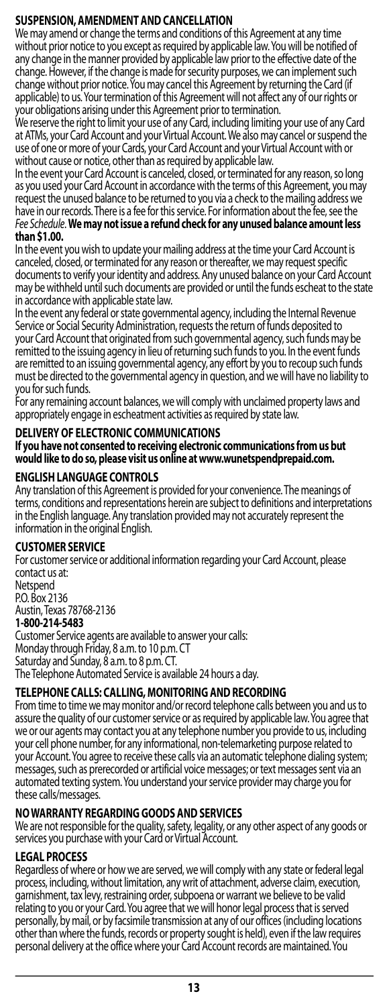# <span id="page-12-0"></span>**SUSPENSION, AMENDMENT AND CANCELLATION**

We may amend or change the terms and conditions of this Agreement at any time without prior notice to you except as required by applicable law. You will be notified of any change in the manner provided by applicable law prior to the effective date of the change. However, if the change is made for security purposes, we can implement such change without prior notice. You may cancel this Agreement by returning the Card (if applicable) to us. Your termination of this Agreement will not affect any of our rights or your obligations arising under this Agreement prior to termination.

We reserve the right to limit your use of any Card, including limiting your use of any Card at ATMs, your Card Account and your Virtual Account. We also may cancel or suspend the use of one or more of your Cards, your Card Account and your Virtual Account with or

without cause or notice, other than as required by applicable law. In the event your Card Account is canceled, closed, or terminated for any reason, so long as you used your Card Account in accordance with the terms of this Agreement, you may request the unused balance to be returned to you via a check to the mailing address we have in our records. There is a fee for this service. For information about the fee, see the *Fee Schedule*. **We may not issue a refund check for any unused balance amount less than \$1.00.**

In the event you wish to update your mailing address at the time your Card Account is canceled, closed, or terminated for any reason or thereafter, we may request specific documents to verify your identity and address. Any unused balance on your Card Account may be withheld until such documents are provided or until the funds escheat to the state in accordance with applicable state law.

In the event any federal or state governmental agency, including the Internal Revenue Service or Social Security Administration, requests the return of funds deposited to your Card Account that originated from such governmental agency, such funds may be remitted to the issuing agency in lieu of returning such funds to you. In the event funds are remitted to an issuing governmental agency, any effort by you to recoup such funds must be directed to the governmental agency in question, and we will have no liability to you for such funds.

For any remaining account balances, we will comply with unclaimed property laws and appropriately engage in escheatment activities as required by state law.

# **DELIVERY OF ELECTRONIC COMMUNICATIONS**

# **If you have not consented to receiving electronic communications from us but would like to do so, please visit us online at www.wunetspendprepaid.com.**

### **ENGLISH LANGUAGE CONTROLS**

Any translation of this Agreement is provided for your convenience. The meanings of terms, conditions and representations herein are subject to definitions and interpretations in the English language. Any translation provided may not accurately represent the information in the original English.

### **CUSTOMER SERVICE**

For customer service or additional information regarding your Card Account, please contact us at: Netspend P.O. Box 2136 Austin, Texas 78768-2136 **1-800-214-5483** Customer Service agents are available to answer your calls: Monday through Friday, 8 a.m. to 10 p.m. CT

Saturday and Sunday, 8 a.m. to 8 p.m. CT. The Telephone Automated Service is available 24 hours a day.

# **TELEPHONE CALLS: CALLING, MONITORING ANDRECORDING**

From time to time we may monitor and/or record telephone calls between you and us to assure the quality of our customer service or as required by applicable law. You agree that we or our agents may contact you at any telephone number you provide to us, including your cell phone number, for any informational, non-telemarketing purpose related to your Account. You agree to receive these calls via an automatic telephone dialing system; messages, such as prerecorded or artificial voice messages; or text messages sent via an automated texting system. You understand your service provider may charge you for these calls/messages.

# **NO WARRANTY REGARDING GOODS ANDSERVICES**

We are not responsible for the quality, safety, legality, or any other aspect of any goods or services you purchase with your Card or Virtual Account.

# **LEGAL PROCESS**

Regardless of where or how we are served, we will comply with any state or federal legal process, including, without limitation, any writ of attachment, adverse claim, execution, garnishment, tax levy, restraining order, subpoena or warrant we believe to be valid relating to you or your Card. You agree that we will honor legal process that is served personally, by mail, or by facsimile transmission at any of our offices (including locations other than where the funds, records or property sought is held), even if the law requires personal delivery at the office where your Card Account records are maintained. You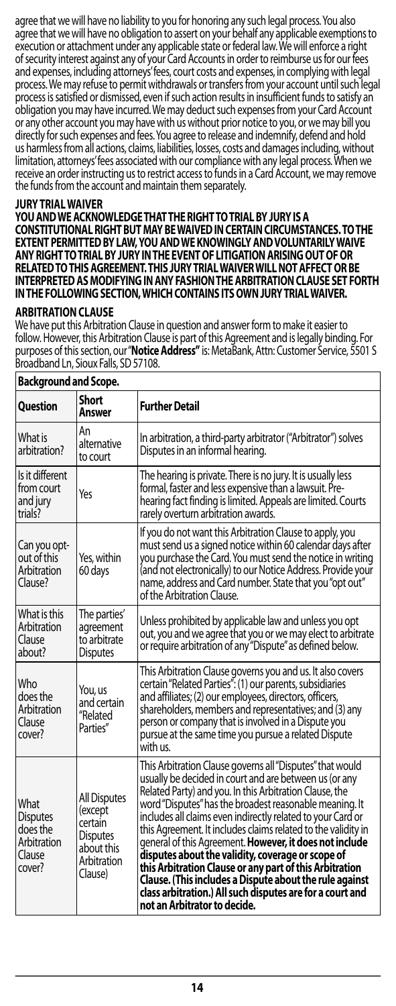<span id="page-13-0"></span>agree that we will have no liability to you for honoring any such legal process. You also agree that we will have no obligation to assert on your behalf any applicable exemptions to execution or attachment under any applicable state or federal law. We will enforce a right of security interest against any of your Card Accounts in order to reimburse us for our fees and expenses, including attorneys' fees, court costs and expenses, in complying with legal process. We may refuse to permit withdrawals or transfers from your account until such legal process is satisfied or dismissed, even if such action results in insufficient funds to satisfy an obligation you may have incurred. We may deduct such expenses from your Card Account or any other account you may have with us without prior notice to you, or we may bill you directly for such expenses and fees. You agree to release and indemnify, defend and hold us harmless from all actions, claims, liabilities, losses, costs and damages including, without limitation, attorneys' fees associated with our compliance with any legal process. When we receive an order instructing us to restrict access to funds in a Card Account, we may remove the funds from the account and maintain them separately.

#### **JURY TRIALWAIVER**

**YOU AND WE ACKNOWLEDGE THAT THE RIGHT TO TRIAL BY JURY IS A CONSTITUTIONAL RIGHT BUT MAY BE WAIVED IN CERTAIN CIRCUMSTANCES. TO THE EXTENT PERMITTED BY LAW, YOU AND WE KNOWINGLY AND VOLUNTARILY WAIVE ANY RIGHT TO TRIAL BY JURY IN THE EVENT OF LITIGATION ARISING OUT OF OR RELATED TO THIS AGREEMENT. THIS JURY TRIAL WAIVER WILL NOT AFFECT OR BE INTERPRETED AS MODIFYING IN ANY FASHION THE ARBITRATION CLAUSE SET FORTH IN THE FOLLOWING SECTION, WHICH CONTAINS ITS OWN JURY TRIALWAIVER.**

#### **ARBITRATION CLAUSE**

We have put this Arbitration Clause in question and answer form to make it easier to follow. However, this Arbitration Clause is part of this Agreement and is legally binding. For purposes of this section, our "**Notice Address"** is: MetaBank, Attn: Customer Service, 5501 S Broadband Ln, Sioux Falls, SD57108.

| Background and Scope.                                                  |                                                                                               |                                                                                                                                                                                                                                                                                                                                                                                                                                                                                                                                                                                                                                                                                                              |
|------------------------------------------------------------------------|-----------------------------------------------------------------------------------------------|--------------------------------------------------------------------------------------------------------------------------------------------------------------------------------------------------------------------------------------------------------------------------------------------------------------------------------------------------------------------------------------------------------------------------------------------------------------------------------------------------------------------------------------------------------------------------------------------------------------------------------------------------------------------------------------------------------------|
| <b>Question</b>                                                        | <b>Short</b><br>Answer                                                                        | <b>Further Detail</b>                                                                                                                                                                                                                                                                                                                                                                                                                                                                                                                                                                                                                                                                                        |
| What is<br>arbitration?                                                | An<br>alternative<br>to court                                                                 | In arbitration, a third-party arbitrator ("Arbitrator") solves<br>Disputes in an informal hearing.                                                                                                                                                                                                                                                                                                                                                                                                                                                                                                                                                                                                           |
| Is it different<br>from court<br>and jury<br>trials?                   | Yes                                                                                           | The hearing is private. There is no jury. It is usually less<br>formal, faster and less expensive than a lawsuit. Pre-<br>hearing fact finding is limited. Appeals are limited. Courts<br>rarely overturn arbitration awards.                                                                                                                                                                                                                                                                                                                                                                                                                                                                                |
| Can you opt-<br>out of this<br>Arbitration<br>Clause?                  | Yes, within<br>60 days                                                                        | If you do not want this Arbitration Clause to apply, you<br>must send us a signed notice within 60 calendar days after<br>you purchase the Card. You must send the notice in writing<br>(and not electronically) to our Notice Address. Provide your<br>name, address and Card number. State that you "opt out"<br>of the Arbitration Clause.                                                                                                                                                                                                                                                                                                                                                                |
| What is this<br>Arbitration<br>Clause<br>about?                        | The parties'<br>agreement<br>to arbitrate<br><b>Disputes</b>                                  | Unless prohibited by applicable law and unless you opt<br>out, you and we agree that you or we may elect to arbitrate<br>or require arbitration of any "Dispute" as defined below.                                                                                                                                                                                                                                                                                                                                                                                                                                                                                                                           |
| Who<br>does the<br>Arbitration<br>Clause<br>cover?                     | You, us<br>and certain<br>"Related<br>Parties"                                                | This Arbitration Clause governs you and us. It also covers<br>certain "Related Parties": (1) our parents, subsidiaries<br>and affiliates; (2) our employees, directors, officers,<br>shareholders, members and representatives; and (3) any<br>person or company that is involved in a Dispute you<br>pursue at the same time you pursue a related Dispute<br>with us.                                                                                                                                                                                                                                                                                                                                       |
| What<br><b>Disputes</b><br>does the<br>Arbitration<br>Clause<br>cover? | All Disputes<br>(except<br>certain<br><b>Disputes</b><br>about this<br>Arbitration<br>Clause) | This Arbitration Clause governs all "Disputes" that would<br>usually be decided in court and are between us (or any<br>Related Party) and you. In this Arbitration Clause, the<br>word "Disputes" has the broadest reasonable meaning. It<br>includes all claims even indirectly related to your Card or<br>this Agreement. It includes claims related to the validity in<br>general of this Agreement. However, it does not include<br>disputes about the validity, coverage or scope of<br>this Arbitration Clause or any part of this Arbitration<br>Clause. (This includes a Dispute about the rule against<br>class arbitration.) All such disputes are for a court and<br>not an Arbitrator to decide. |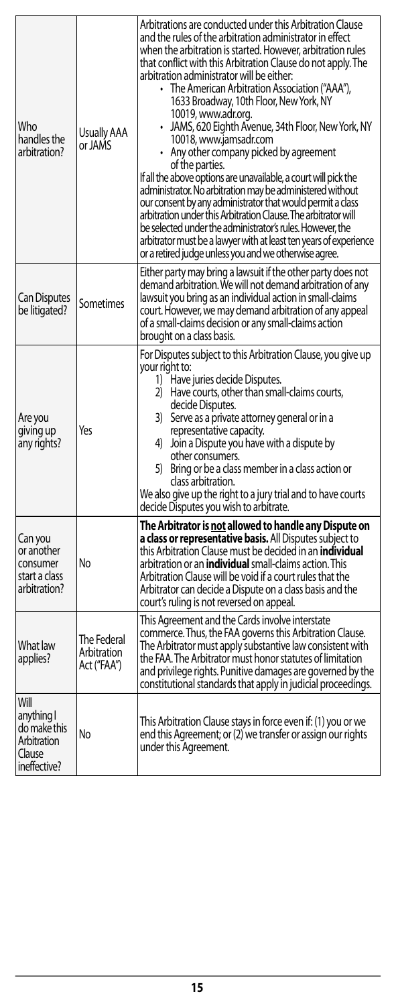| Who<br>handles the<br>arbitration?                                          | Usually AAA<br>or JAMS                    | Arbitrations are conducted under this Arbitration Clause<br>and the rules of the arbitration administrator in effect<br>when the arbitration is started. However, arbitration rules<br>that conflict with this Arbitration Clause do not apply. The<br>arbitration administrator will be either:<br>• The American Arbitration Association ("AAA"),<br>1633 Broadway, 10th Floor, New York, NY<br>10019, www.adr.org.<br>• JAMS, 620 Eighth Avenue, 34th Floor, New York, NY<br>10018, www.jamsadr.com<br>• Any other company picked by agreement<br>of the parties.<br>If all the above options are unavailable, a court will pick the<br>administrator. No arbitration may be administered without<br>our consent by any administrator that would permit a class<br>arbitration under this Arbitration Clause. The arbitrator will<br>be selected under the administrator's rules. However, the<br>arbitrator must be a lawyer with at least ten years of experience<br>or a retired judge unless you and we otherwise agree. |
|-----------------------------------------------------------------------------|-------------------------------------------|---------------------------------------------------------------------------------------------------------------------------------------------------------------------------------------------------------------------------------------------------------------------------------------------------------------------------------------------------------------------------------------------------------------------------------------------------------------------------------------------------------------------------------------------------------------------------------------------------------------------------------------------------------------------------------------------------------------------------------------------------------------------------------------------------------------------------------------------------------------------------------------------------------------------------------------------------------------------------------------------------------------------------------|
| Can Disputes<br>be litigated?                                               | <b>Sometimes</b>                          | Either party may bring a lawsuit if the other party does not<br>demand arbitration. We will not demand arbitration of any<br>lawsuit you bring as an individual action in small-claims<br>court. However, we may demand arbitration of any appeal<br>of a small-claims decision or any small-claims action<br>brought on a class basis.                                                                                                                                                                                                                                                                                                                                                                                                                                                                                                                                                                                                                                                                                         |
| Are you<br>giving up<br>any rights?                                         | Yes                                       | For Disputes subject to this Arbitration Clause, you give up<br>your right to:<br>1) Have juries decide Disputes.<br>2) Have courts, other than small-claims courts,<br>decide Disputes.<br>3) Serve as a private attorney general or in a<br>representative capacity.<br>4) Join a Dispute you have with a dispute by<br>other consumers.<br>5) Bring or be a class member in a class action or<br>class arbitration.<br>We also give up the right to a jury trial and to have courts<br>decide Disputes you wish to arbitrate.                                                                                                                                                                                                                                                                                                                                                                                                                                                                                                |
| Can you<br>or another<br>consumer<br>start a class<br>arbitration?          | No                                        | The Arbitrator is not allowed to handle any Dispute on<br>a class or representative basis. All Disputes subject to<br>this Arbitration Clause must be decided in an <b>individual</b><br>arbitration or an <b>individual</b> small-claims action. This<br>Arbitration Clause will be void if a court rules that the<br>Arbitrator can decide a Dispute on a class basis and the<br>court's ruling is not reversed on appeal.                                                                                                                                                                                                                                                                                                                                                                                                                                                                                                                                                                                                    |
| What law<br>applies?                                                        | The Federal<br>Arbitration<br>Act ("FAA") | This Agreement and the Cards involve interstate<br>commerce. Thus, the FAA governs this Arbitration Clause.<br>The Arbitrator must apply substantive law consistent with<br>the FAA. The Arbitrator must honor statutes of limitation<br>and privilege rights. Punitive damages are governed by the<br>constitutional standards that apply in judicial proceedings.                                                                                                                                                                                                                                                                                                                                                                                                                                                                                                                                                                                                                                                             |
| Will<br>anything I<br>do make this<br>Arbitration<br>Clause<br>ineffective? | No                                        | This Arbitration Clause stays in force even if: (1) you or we<br>end this Agreement; or (2) we transfer or assign our rights<br>under this Agreement.                                                                                                                                                                                                                                                                                                                                                                                                                                                                                                                                                                                                                                                                                                                                                                                                                                                                           |